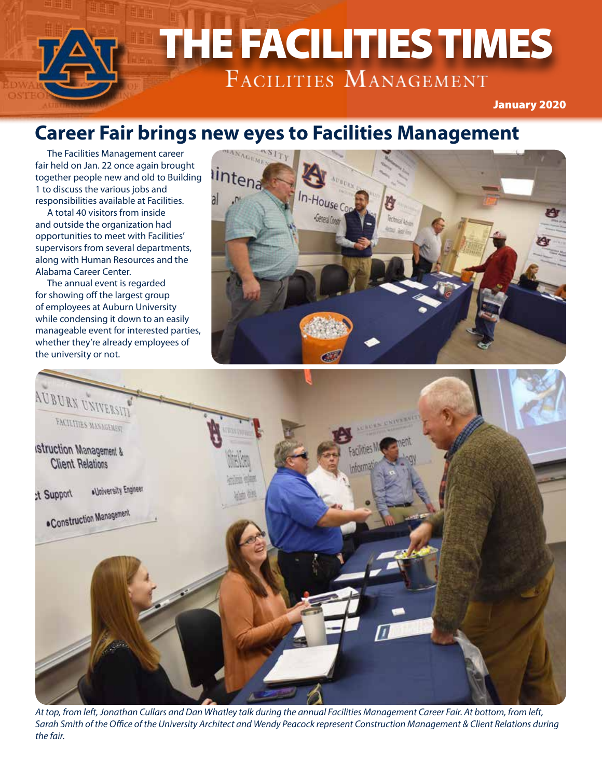# THE FACILITIES TIMES THE FACILITIES TIMES

January 2020

### **Career Fair brings new eyes to Facilities Management**

The Facilities Management career fair held on Jan. 22 once again brought together people new and old to Building 1 to discuss the various jobs and responsibilities available at Facilities.

A total 40 visitors from inside and outside the organization had opportunities to meet with Facilities' supervisors from several departments, along with Human Resources and the Alabama Career Center.

The annual event is regarded for showing off the largest group of employees at Auburn University while condensing it down to an easily manageable event for interested parties, whether they're already employees of the university or not.





*At top, from left, Jonathan Cullars and Dan Whatley talk during the annual Facilities Management Career Fair. At bottom, from left, Sarah Smith of the Office of the University Architect and Wendy Peacock represent Construction Management & Client Relations during the fair.*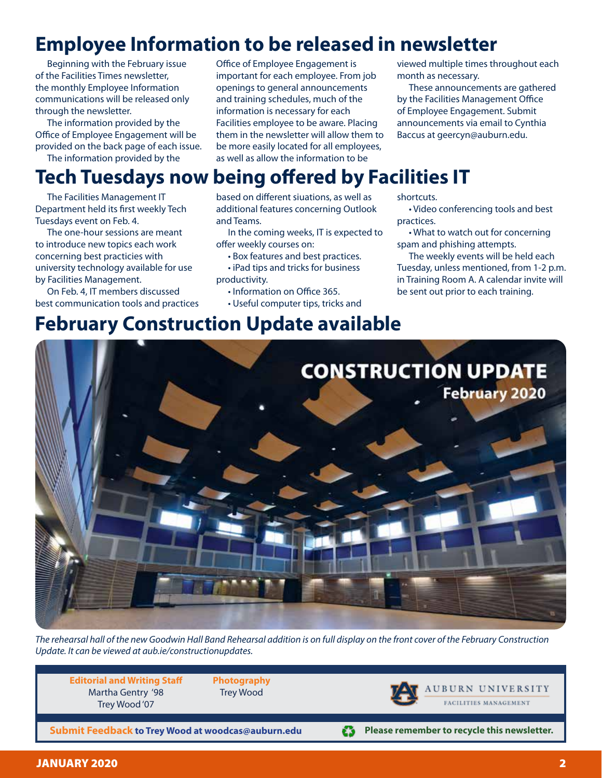## **Employee Information to be released in newsletter**

Beginning with the February issue of the Facilities Times newsletter, the monthly Employee Information communications will be released only through the newsletter.

The information provided by the Office of Employee Engagement will be provided on the back page of each issue.

The information provided by the

Office of Employee Engagement is important for each employee. From job openings to general announcements and training schedules, much of the information is necessary for each Facilities employee to be aware. Placing them in the newsletter will allow them to be more easily located for all employees, as well as allow the information to be

viewed multiple times throughout each month as necessary.

These announcements are gathered by the Facilities Management Office of Employee Engagement. Submit announcements via email to Cynthia Baccus at geercyn@auburn.edu.

# **Tech Tuesdays now being offered by Facilities IT**

The Facilities Management IT Department held its first weekly Tech Tuesdays event on Feb. 4.

The one-hour sessions are meant to introduce new topics each work concerning best practicies with university technology available for use by Facilities Management.

On Feb. 4, IT members discussed best communication tools and practices based on different siuations, as well as additional features concerning Outlook and Teams.

In the coming weeks, IT is expected to offer weekly courses on:

• Box features and best practices.

• iPad tips and tricks for business productivity.

- Information on Office 365.
- Useful computer tips, tricks and

shortcuts.

• Video conferencing tools and best practices.

• What to watch out for concerning spam and phishing attempts.

The weekly events will be held each Tuesday, unless mentioned, from 1-2 p.m. in Training Room A. A calendar invite will be sent out prior to each training.

# **February Construction Update available**



*The rehearsal hall of the new Goodwin Hall Band Rehearsal addition is on full display on the front cover of the February Construction Update. It can be viewed at aub.ie/constructionupdates.*

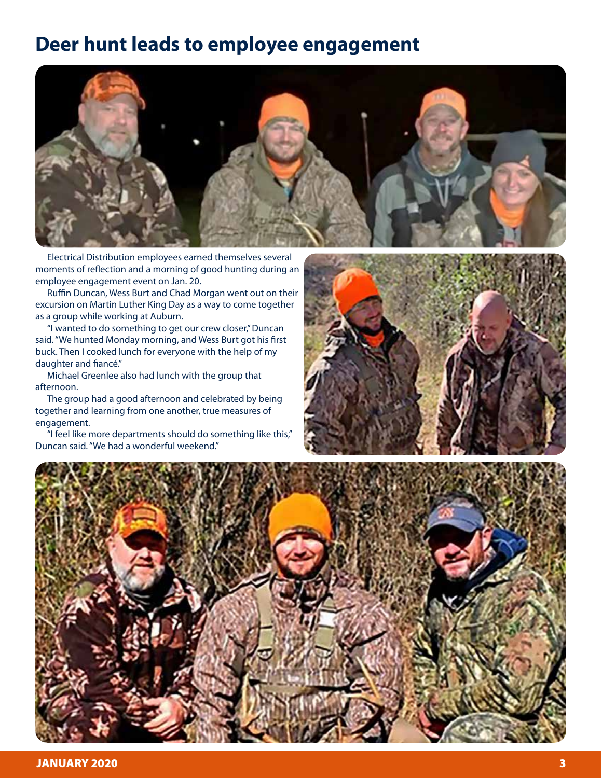#### **Deer hunt leads to employee engagement**



Electrical Distribution employees earned themselves several moments of reflection and a morning of good hunting during an employee engagement event on Jan. 20.

Ruffin Duncan, Wess Burt and Chad Morgan went out on their excursion on Martin Luther King Day as a way to come together as a group while working at Auburn.

"I wanted to do something to get our crew closer," Duncan said. "We hunted Monday morning, and Wess Burt got his first buck. Then I cooked lunch for everyone with the help of my daughter and fiancé."

Michael Greenlee also had lunch with the group that afternoon.

The group had a good afternoon and celebrated by being together and learning from one another, true measures of engagement.

"I feel like more departments should do something like this," Duncan said. "We had a wonderful weekend."